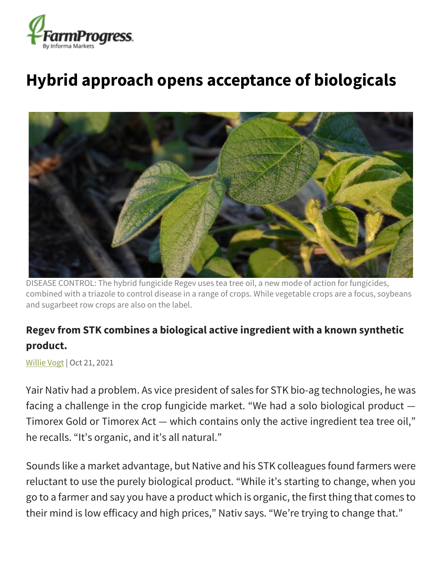

## **Hybrid approach opens acceptance of biologicals**



DISEASE CONTROL: The hybrid fungicide Regev uses tea tree oil, a new mode of action for fungicides, combined with a triazole to control disease in a range of crops. While vegetable crops are a focus, soybeans and sugarbeet row crops are also on the label.

## **Regev from STK combines a biological active ingredient with a known synthetic product.**

[Willie Vogt](https://www.farmprogress.com/author/Willie-Vogt-0) | Oct 21, 2021

Yair Nativ had a problem. As vice president of sales for STK bio-ag technologies, he was facing a challenge in the crop fungicide market. "We had a solo biological product — Timorex Gold or Timorex Act — which contains only the active ingredient tea tree oil," he recalls. "It's organic, and it's all natural."

Sounds like a market advantage, but Native and his STK colleagues found farmers were reluctant to use the purely biological product. "While it's starting to change, when you go to a farmer and say you have a product which is organic, the first thing that comes to their mind is low efficacy and high prices," Nativ says. "We're trying to change that."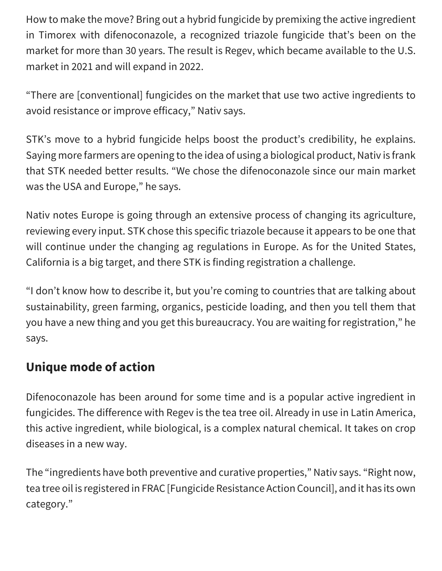How to make the move? Bring out a hybrid fungicide by premixing the active ingredient in Timorex with difenoconazole, a recognized triazole fungicide that's been on the market for more than 30 years. The result is Regev, which became available to the U.S. market in 2021 and will expand in 2022.

"There are [conventional] fungicides on the market that use two active ingredients to avoid resistance or improve efficacy," Nativ says.

STK's move to a hybrid fungicide helps boost the product's credibility, he explains. Saying more farmers are opening to the idea of using a biological product, Nativ is frank that STK needed better results. "We chose the difenoconazole since our main market was the USA and Europe," he says.

Nativ notes Europe is going through an extensive process of changing its agriculture, reviewing every input. STK chose this specific triazole because it appears to be one that will continue under the changing ag regulations in Europe. As for the United States, California is a big target, and there STK is finding registration a challenge.

"I don't know how to describe it, but you're coming to countries that are talking about sustainability, green farming, organics, pesticide loading, and then you tell them that you have a new thing and you get this bureaucracy. You are waiting for registration," he says.

## **Unique mode of action**

Difenoconazole has been around for some time and is a popular active ingredient in fungicides. The difference with Regev is the tea tree oil. Already in use in Latin America, this active ingredient, while biological, is a complex natural chemical. It takes on crop diseases in a new way.

The "ingredients have both preventive and curative properties," Nativ says. "Right now, tea tree oil is registered in FRAC [Fungicide Resistance Action Council], and it has its own category."